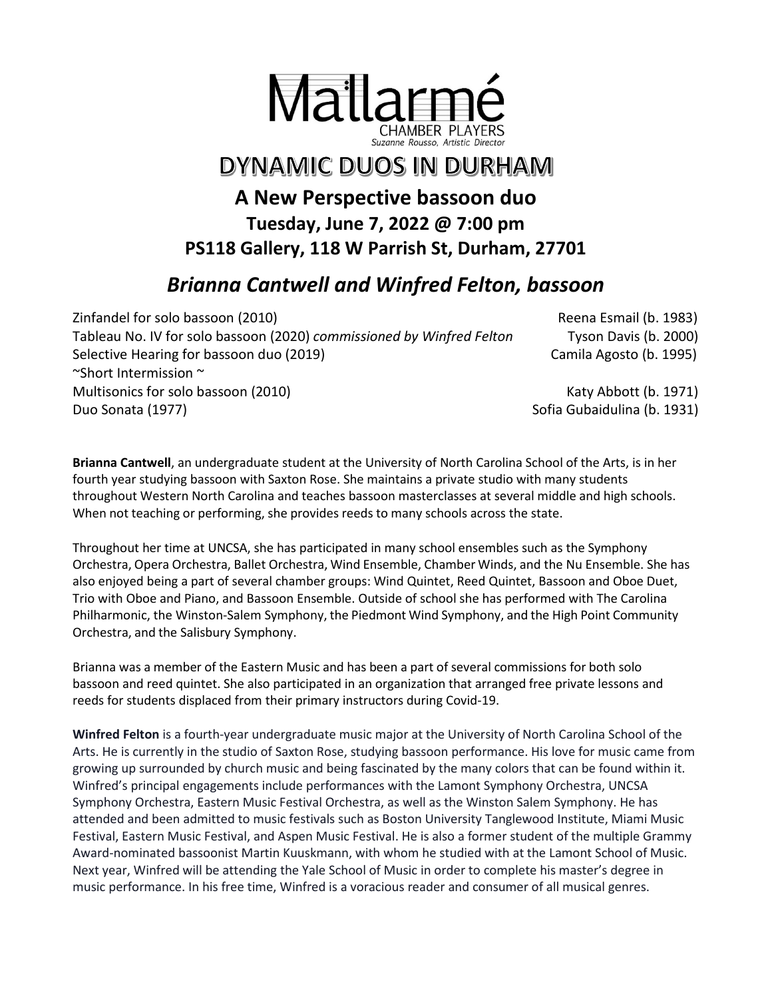

## DYNAMIC DUOS IN DURHAM

## **A New Perspective bassoon duo Tuesday, June 7, 2022 @ 7:00 pm PS118 Gallery, 118 W Parrish St, Durham, 27701**

## *Brianna Cantwell and Winfred Felton, bassoon*

Zinfandel for solo bassoon (2010) Controlled the Controller Controller Reena Esmail (b. 1983) Tableau No. IV for solo bassoon (2020) *commissioned by Winfred Felton* Tyson Davis (b. 2000) Selective Hearing for bassoon duo (2019) Camila Agosto (b. 1995) ~Short Intermission ~ Multisonics for solo bassoon (2010) Multisonics for solo bassoon (2010) Katy Abbott (b. 1971) Duo Sonata (1977) Sofia Gubaidulina (b. 1931)

**Brianna Cantwell**, an undergraduate student at the University of North Carolina School of the Arts, is in her fourth year studying bassoon with Saxton Rose. She maintains a private studio with many students throughout Western North Carolina and teaches bassoon masterclasses at several middle and high schools. When not teaching or performing, she provides reeds to many schools across the state.

Throughout her time at UNCSA, she has participated in many school ensembles such as the Symphony Orchestra, Opera Orchestra, Ballet Orchestra, Wind Ensemble, Chamber Winds, and the Nu Ensemble. She has also enjoyed being a part of several chamber groups: Wind Quintet, Reed Quintet, Bassoon and Oboe Duet, Trio with Oboe and Piano, and Bassoon Ensemble. Outside of school she has performed with The Carolina Philharmonic, the Winston-Salem Symphony, the Piedmont Wind Symphony, and the High Point Community Orchestra, and the Salisbury Symphony.

Brianna was a member of the Eastern Music and has been a part of several commissions for both solo bassoon and reed quintet. She also participated in an organization that arranged free private lessons and reeds for students displaced from their primary instructors during Covid-19.

**Winfred Felton** is a fourth-year undergraduate music major at the University of North Carolina School of the Arts. He is currently in the studio of Saxton Rose, studying bassoon performance. His love for music came from growing up surrounded by church music and being fascinated by the many colors that can be found within it. Winfred's principal engagements include performances with the Lamont Symphony Orchestra, UNCSA Symphony Orchestra, Eastern Music Festival Orchestra, as well as the Winston Salem Symphony. He has attended and been admitted to music festivals such as Boston University Tanglewood Institute, Miami Music Festival, Eastern Music Festival, and Aspen Music Festival. He is also a former student of the multiple Grammy Award-nominated bassoonist Martin Kuuskmann, with whom he studied with at the Lamont School of Music. Next year, Winfred will be attending the Yale School of Music in order to complete his master's degree in music performance. In his free time, Winfred is a voracious reader and consumer of all musical genres.